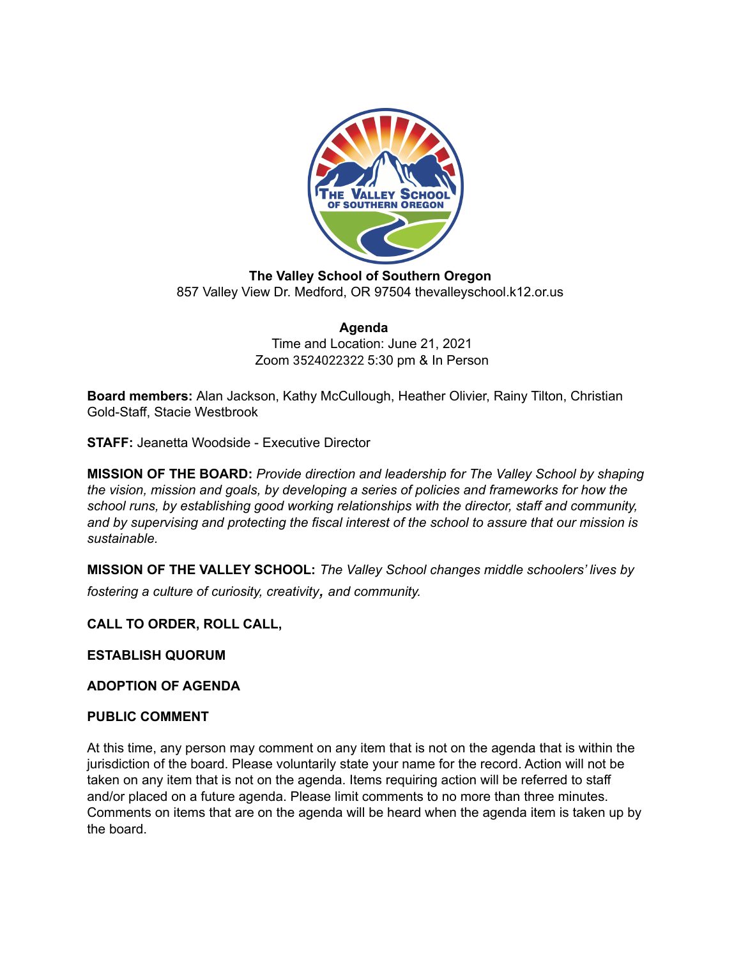

**The Valley School of Southern Oregon** 857 Valley View Dr. Medford, OR 97504 thevalleyschool.k12.or.us

> **Agenda** Time and Location: June 21, 2021 Zoom 3524022322 5:30 pm & In Person

**Board members:** Alan Jackson, Kathy McCullough, Heather Olivier, Rainy Tilton, Christian Gold-Staff, Stacie Westbrook

**STAFF:** Jeanetta Woodside - Executive Director

**MISSION OF THE BOARD:** *Provide direction and leadership for The Valley School by shaping the vision, mission and goals, by developing a series of policies and frameworks for how the school runs, by establishing good working relationships with the director, staff and community, and by supervising and protecting the fiscal interest of the school to assure that our mission is sustainable.*

**MISSION OF THE VALLEY SCHOOL:** *The Valley School changes middle schoolers' lives by fostering <sup>a</sup> culture of curiosity, creativity, and community.*

# **CALL TO ORDER, ROLL CALL,**

**ESTABLISH QUORUM**

**ADOPTION OF AGENDA**

## **PUBLIC COMMENT**

At this time, any person may comment on any item that is not on the agenda that is within the jurisdiction of the board. Please voluntarily state your name for the record. Action will not be taken on any item that is not on the agenda. Items requiring action will be referred to staff and/or placed on a future agenda. Please limit comments to no more than three minutes. Comments on items that are on the agenda will be heard when the agenda item is taken up by the board.